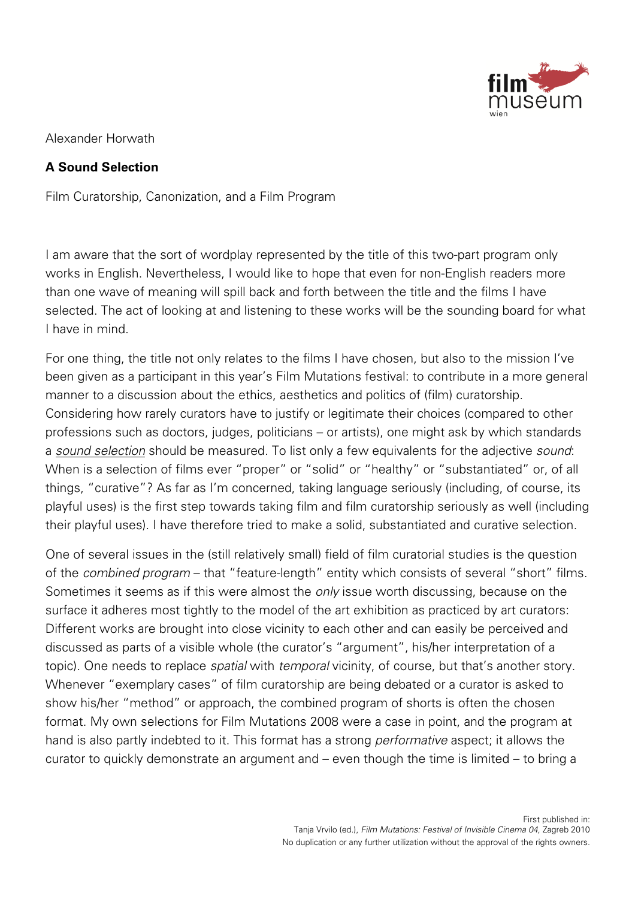

Alexander Horwath

## **A Sound Selection**

Film Curatorship, Canonization, and a Film Program

I am aware that the sort of wordplay represented by the title of this two-part program only works in English. Nevertheless, I would like to hope that even for non-English readers more than one wave of meaning will spill back and forth between the title and the films I have selected. The act of looking at and listening to these works will be the sounding board for what I have in mind.

For one thing, the title not only relates to the films I have chosen, but also to the mission I've been given as a participant in this year's Film Mutations festival: to contribute in a more general manner to a discussion about the ethics, aesthetics and politics of (film) curatorship. Considering how rarely curators have to justify or legitimate their choices (compared to other professions such as doctors, judges, politicians – or artists), one might ask by which standards a sound selection should be measured. To list only a few equivalents for the adjective sound: When is a selection of films ever "proper" or "solid" or "healthy" or "substantiated" or, of all things, "curative"? As far as I'm concerned, taking language seriously (including, of course, its playful uses) is the first step towards taking film and film curatorship seriously as well (including their playful uses). I have therefore tried to make a solid, substantiated and curative selection.

One of several issues in the (still relatively small) field of film curatorial studies is the question of the combined program – that "feature-length" entity which consists of several "short" films. Sometimes it seems as if this were almost the *only* issue worth discussing, because on the surface it adheres most tightly to the model of the art exhibition as practiced by art curators: Different works are brought into close vicinity to each other and can easily be perceived and discussed as parts of a visible whole (the curator's "argument", his/her interpretation of a topic). One needs to replace spatial with temporal vicinity, of course, but that's another story. Whenever "exemplary cases" of film curatorship are being debated or a curator is asked to show his/her "method" or approach, the combined program of shorts is often the chosen format. My own selections for Film Mutations 2008 were a case in point, and the program at hand is also partly indebted to it. This format has a strong performative aspect; it allows the curator to quickly demonstrate an argument and – even though the time is limited – to bring a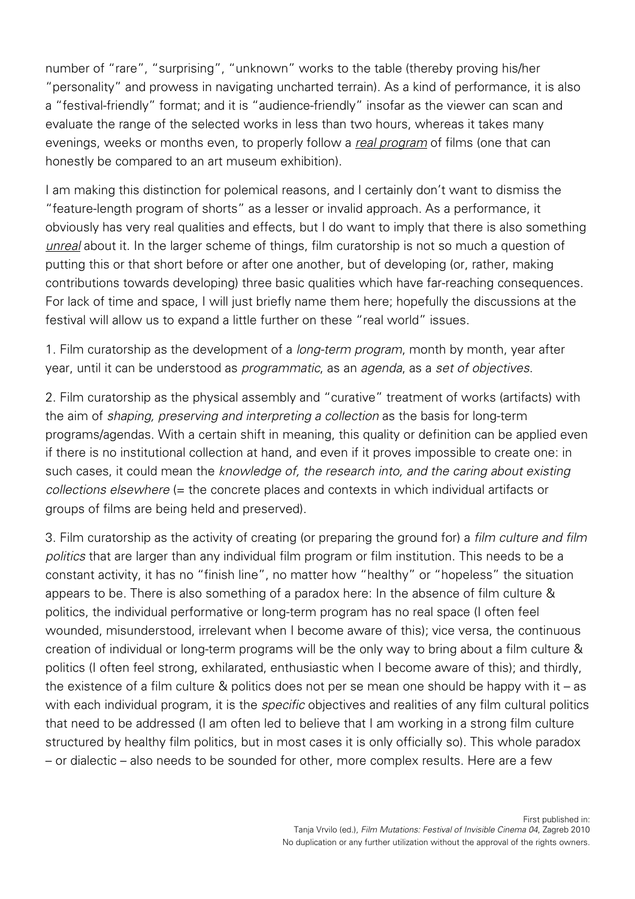number of "rare", "surprising", "unknown" works to the table (thereby proving his/her "personality" and prowess in navigating uncharted terrain). As a kind of performance, it is also a "festival-friendly" format; and it is "audience-friendly" insofar as the viewer can scan and evaluate the range of the selected works in less than two hours, whereas it takes many evenings, weeks or months even, to properly follow a real program of films (one that can honestly be compared to an art museum exhibition).

I am making this distinction for polemical reasons, and I certainly don't want to dismiss the "feature-length program of shorts" as a lesser or invalid approach. As a performance, it obviously has very real qualities and effects, but I do want to imply that there is also something unreal about it. In the larger scheme of things, film curatorship is not so much a question of putting this or that short before or after one another, but of developing (or, rather, making contributions towards developing) three basic qualities which have far-reaching consequences. For lack of time and space, I will just briefly name them here; hopefully the discussions at the festival will allow us to expand a little further on these "real world" issues.

1. Film curatorship as the development of a *long-term program*, month by month, year after year, until it can be understood as programmatic, as an agenda, as a set of objectives.

2. Film curatorship as the physical assembly and "curative" treatment of works (artifacts) with the aim of shaping, preserving and interpreting a collection as the basis for long-term programs/agendas. With a certain shift in meaning, this quality or definition can be applied even if there is no institutional collection at hand, and even if it proves impossible to create one: in such cases, it could mean the knowledge of, the research into, and the caring about existing collections elsewhere (= the concrete places and contexts in which individual artifacts or groups of films are being held and preserved).

3. Film curatorship as the activity of creating (or preparing the ground for) a film culture and film politics that are larger than any individual film program or film institution. This needs to be a constant activity, it has no "finish line", no matter how "healthy" or "hopeless" the situation appears to be. There is also something of a paradox here: In the absence of film culture & politics, the individual performative or long-term program has no real space (I often feel wounded, misunderstood, irrelevant when I become aware of this); vice versa, the continuous creation of individual or long-term programs will be the only way to bring about a film culture & politics (I often feel strong, exhilarated, enthusiastic when I become aware of this); and thirdly, the existence of a film culture & politics does not per se mean one should be happy with it – as with each individual program, it is the *specific* objectives and realities of any film cultural politics that need to be addressed (I am often led to believe that I am working in a strong film culture structured by healthy film politics, but in most cases it is only officially so). This whole paradox – or dialectic – also needs to be sounded for other, more complex results. Here are a few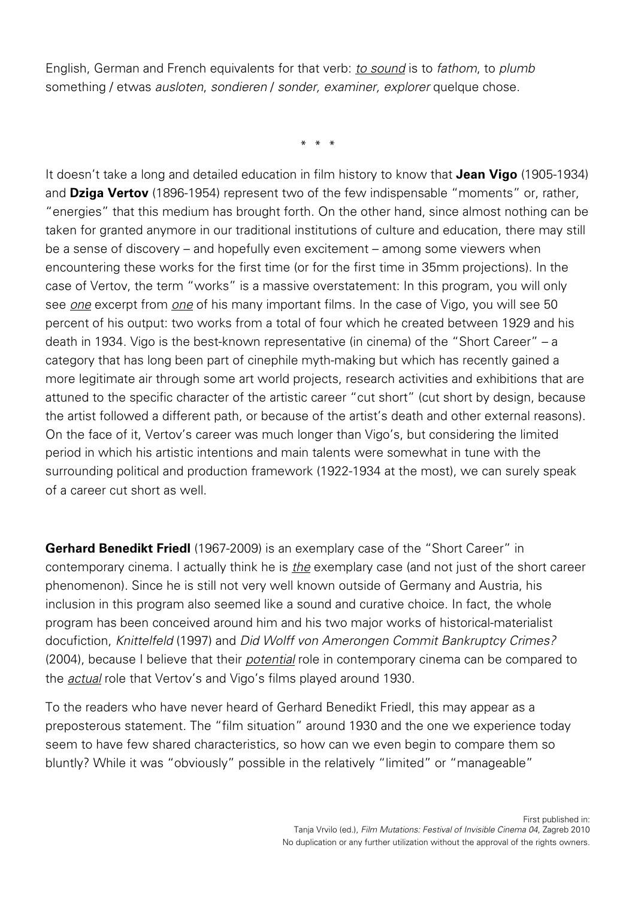English, German and French equivalents for that verb: *to sound* is to *fathom*, to *plumb* something / etwas *ausloten, sondieren / sonder, examiner, explorer* quelque chose.

\* \* \*

It doesn't take a long and detailed education in film history to know that **Jean Vigo** (1905-1934) and **Dziga Vertov** (1896-1954) represent two of the few indispensable "moments" or, rather, "energies" that this medium has brought forth. On the other hand, since almost nothing can be taken for granted anymore in our traditional institutions of culture and education, there may still be a sense of discovery – and hopefully even excitement – among some viewers when encountering these works for the first time (or for the first time in 35mm projections). In the case of Vertov, the term "works" is a massive overstatement: In this program, you will only see one excerpt from one of his many important films. In the case of Vigo, you will see 50 percent of his output: two works from a total of four which he created between 1929 and his death in 1934. Vigo is the best-known representative (in cinema) of the "Short Career" – a category that has long been part of cinephile myth-making but which has recently gained a more legitimate air through some art world projects, research activities and exhibitions that are attuned to the specific character of the artistic career "cut short" (cut short by design, because the artist followed a different path, or because of the artist's death and other external reasons). On the face of it, Vertov's career was much longer than Vigo's, but considering the limited period in which his artistic intentions and main talents were somewhat in tune with the surrounding political and production framework (1922-1934 at the most), we can surely speak of a career cut short as well.

**Gerhard Benedikt Friedl** (1967-2009) is an exemplary case of the "Short Career" in contemporary cinema. I actually think he is the exemplary case (and not just of the short career phenomenon). Since he is still not very well known outside of Germany and Austria, his inclusion in this program also seemed like a sound and curative choice. In fact, the whole program has been conceived around him and his two major works of historical-materialist docufiction, Knittelfeld (1997) and Did Wolff von Amerongen Commit Bankruptcy Crimes? (2004), because I believe that their potential role in contemporary cinema can be compared to the **actual** role that Vertov's and Vigo's films played around 1930.

To the readers who have never heard of Gerhard Benedikt Friedl, this may appear as a preposterous statement. The "film situation" around 1930 and the one we experience today seem to have few shared characteristics, so how can we even begin to compare them so bluntly? While it was "obviously" possible in the relatively "limited" or "manageable"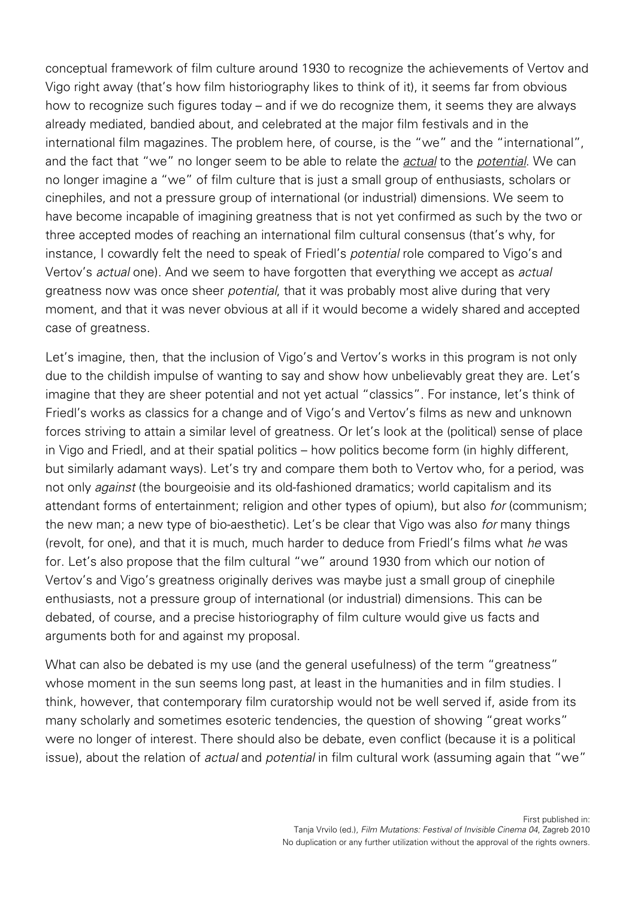conceptual framework of film culture around 1930 to recognize the achievements of Vertov and Vigo right away (that's how film historiography likes to think of it), it seems far from obvious how to recognize such figures today – and if we do recognize them, it seems they are always already mediated, bandied about, and celebrated at the major film festivals and in the international film magazines. The problem here, of course, is the "we" and the "international", and the fact that "we" no longer seem to be able to relate the actual to the potential. We can no longer imagine a "we" of film culture that is just a small group of enthusiasts, scholars or cinephiles, and not a pressure group of international (or industrial) dimensions. We seem to have become incapable of imagining greatness that is not yet confirmed as such by the two or three accepted modes of reaching an international film cultural consensus (that's why, for instance, I cowardly felt the need to speak of Friedl's potential role compared to Vigo's and Vertov's actual one). And we seem to have forgotten that everything we accept as actual greatness now was once sheer potential, that it was probably most alive during that very moment, and that it was never obvious at all if it would become a widely shared and accepted case of greatness.

Let's imagine, then, that the inclusion of Vigo's and Vertov's works in this program is not only due to the childish impulse of wanting to say and show how unbelievably great they are. Let's imagine that they are sheer potential and not yet actual "classics". For instance, let's think of Friedl's works as classics for a change and of Vigo's and Vertov's films as new and unknown forces striving to attain a similar level of greatness. Or let's look at the (political) sense of place in Vigo and Friedl, and at their spatial politics – how politics become form (in highly different, but similarly adamant ways). Let's try and compare them both to Vertov who, for a period, was not only *against* (the bourgeoisie and its old-fashioned dramatics; world capitalism and its attendant forms of entertainment; religion and other types of opium), but also for (communism; the new man; a new type of bio-aesthetic). Let's be clear that Vigo was also for many things (revolt, for one), and that it is much, much harder to deduce from Friedl's films what he was for. Let's also propose that the film cultural "we" around 1930 from which our notion of Vertov's and Vigo's greatness originally derives was maybe just a small group of cinephile enthusiasts, not a pressure group of international (or industrial) dimensions. This can be debated, of course, and a precise historiography of film culture would give us facts and arguments both for and against my proposal.

What can also be debated is my use (and the general usefulness) of the term "greatness" whose moment in the sun seems long past, at least in the humanities and in film studies. I think, however, that contemporary film curatorship would not be well served if, aside from its many scholarly and sometimes esoteric tendencies, the question of showing "great works" were no longer of interest. There should also be debate, even conflict (because it is a political issue), about the relation of *actual* and *potential* in film cultural work (assuming again that "we"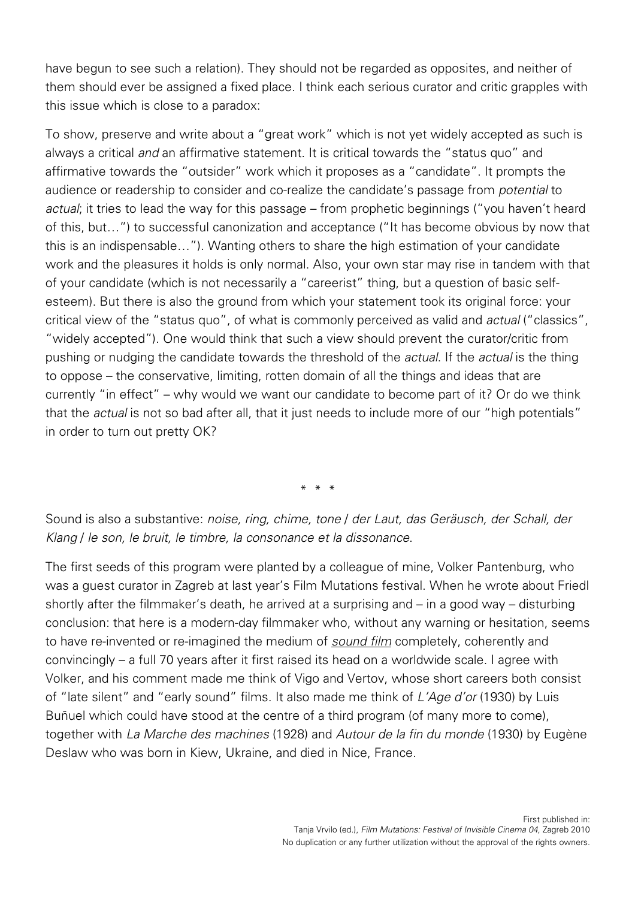have begun to see such a relation). They should not be regarded as opposites, and neither of them should ever be assigned a fixed place. I think each serious curator and critic grapples with this issue which is close to a paradox:

To show, preserve and write about a "great work" which is not yet widely accepted as such is always a critical and an affirmative statement. It is critical towards the "status quo" and affirmative towards the "outsider" work which it proposes as a "candidate". It prompts the audience or readership to consider and co-realize the candidate's passage from potential to actual; it tries to lead the way for this passage – from prophetic beginnings ("you haven't heard of this, but…") to successful canonization and acceptance ("It has become obvious by now that this is an indispensable…"). Wanting others to share the high estimation of your candidate work and the pleasures it holds is only normal. Also, your own star may rise in tandem with that of your candidate (which is not necessarily a "careerist" thing, but a question of basic selfesteem). But there is also the ground from which your statement took its original force: your critical view of the "status quo", of what is commonly perceived as valid and actual ("classics", "widely accepted"). One would think that such a view should prevent the curator/critic from pushing or nudging the candidate towards the threshold of the *actual*. If the *actual* is the thing to oppose – the conservative, limiting, rotten domain of all the things and ideas that are currently "in effect" – why would we want our candidate to become part of it? Or do we think that the actual is not so bad after all, that it just needs to include more of our "high potentials" in order to turn out pretty OK?

\* \* \*

Sound is also a substantive: noise, ring, chime, tone / der Laut, das Geräusch, der Schall, der Klang / le son, le bruit, le timbre, la consonance et la dissonance.

The first seeds of this program were planted by a colleague of mine, Volker Pantenburg, who was a guest curator in Zagreb at last year's Film Mutations festival. When he wrote about Friedl shortly after the filmmaker's death, he arrived at a surprising and – in a good way – disturbing conclusion: that here is a modern-day filmmaker who, without any warning or hesitation, seems to have re-invented or re-imagined the medium of sound film completely, coherently and convincingly – a full 70 years after it first raised its head on a worldwide scale. I agree with Volker, and his comment made me think of Vigo and Vertov, whose short careers both consist of "late silent" and "early sound" films. It also made me think of L'Age d'or (1930) by Luis Buñuel which could have stood at the centre of a third program (of many more to come), together with La Marche des machines (1928) and Autour de la fin du monde (1930) by Eugène Deslaw who was born in Kiew, Ukraine, and died in Nice, France.